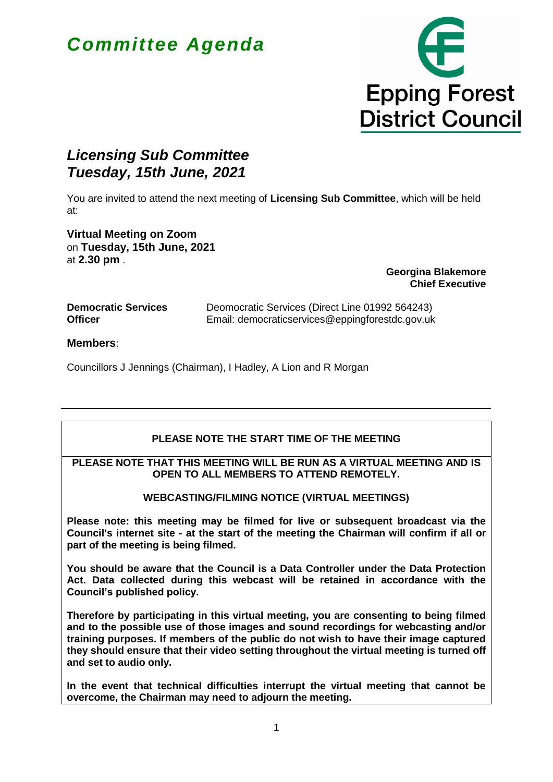# *Committee Agenda*



# *Licensing Sub Committee Tuesday, 15th June, 2021*

You are invited to attend the next meeting of **Licensing Sub Committee**, which will be held at:

**Virtual Meeting on Zoom** on **Tuesday, 15th June, 2021** at **2.30 pm** .

**Georgina Blakemore Chief Executive**

| <b>Democratic Services</b> |  |
|----------------------------|--|
| <b>Officer</b>             |  |

Deomocratic Services (Direct Line 01992 564243) Email: democraticservices@eppingforestdc.gov.uk

**Members**:

Councillors J Jennings (Chairman), I Hadley, A Lion and R Morgan

## **PLEASE NOTE THE START TIME OF THE MEETING**

#### **PLEASE NOTE THAT THIS MEETING WILL BE RUN AS A VIRTUAL MEETING AND IS OPEN TO ALL MEMBERS TO ATTEND REMOTELY.**

### **WEBCASTING/FILMING NOTICE (VIRTUAL MEETINGS)**

**Please note: this meeting may be filmed for live or subsequent broadcast via the Council's internet site - at the start of the meeting the Chairman will confirm if all or part of the meeting is being filmed.** 

**You should be aware that the Council is a Data Controller under the Data Protection Act. Data collected during this webcast will be retained in accordance with the Council's published policy.**

**Therefore by participating in this virtual meeting, you are consenting to being filmed and to the possible use of those images and sound recordings for webcasting and/or training purposes. If members of the public do not wish to have their image captured they should ensure that their video setting throughout the virtual meeting is turned off and set to audio only.**

**In the event that technical difficulties interrupt the virtual meeting that cannot be overcome, the Chairman may need to adjourn the meeting.**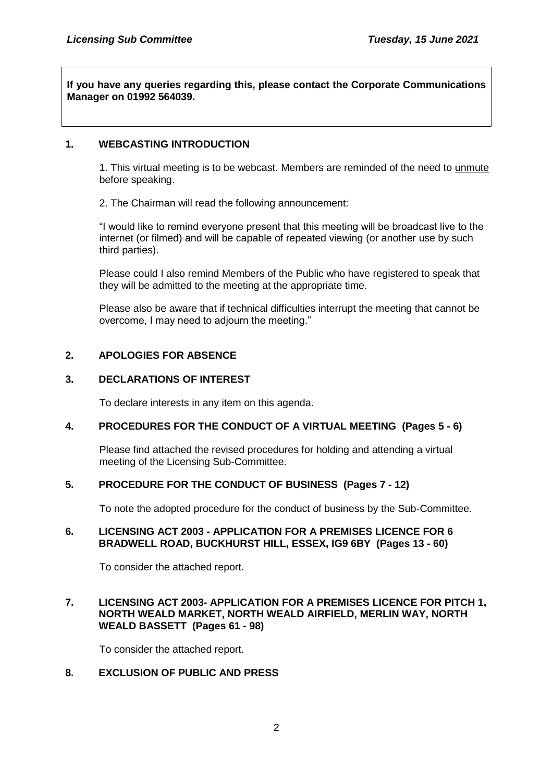**If you have any queries regarding this, please contact the Corporate Communications Manager on 01992 564039.**

#### **1. WEBCASTING INTRODUCTION**

1. This virtual meeting is to be webcast. Members are reminded of the need to unmute before speaking.

2. The Chairman will read the following announcement:

"I would like to remind everyone present that this meeting will be broadcast live to the internet (or filmed) and will be capable of repeated viewing (or another use by such third parties).

Please could I also remind Members of the Public who have registered to speak that they will be admitted to the meeting at the appropriate time.

Please also be aware that if technical difficulties interrupt the meeting that cannot be overcome, I may need to adjourn the meeting."

#### **2. APOLOGIES FOR ABSENCE**

#### **3. DECLARATIONS OF INTEREST**

To declare interests in any item on this agenda.

#### **4. PROCEDURES FOR THE CONDUCT OF A VIRTUAL MEETING (Pages 5 - 6)**

Please find attached the revised procedures for holding and attending a virtual meeting of the Licensing Sub-Committee.

#### **5. PROCEDURE FOR THE CONDUCT OF BUSINESS (Pages 7 - 12)**

To note the adopted procedure for the conduct of business by the Sub-Committee.

#### **6. LICENSING ACT 2003 - APPLICATION FOR A PREMISES LICENCE FOR 6 BRADWELL ROAD, BUCKHURST HILL, ESSEX, IG9 6BY (Pages 13 - 60)**

To consider the attached report.

#### **7. LICENSING ACT 2003- APPLICATION FOR A PREMISES LICENCE FOR PITCH 1, NORTH WEALD MARKET, NORTH WEALD AIRFIELD, MERLIN WAY, NORTH WEALD BASSETT (Pages 61 - 98)**

To consider the attached report.

#### **8. EXCLUSION OF PUBLIC AND PRESS**